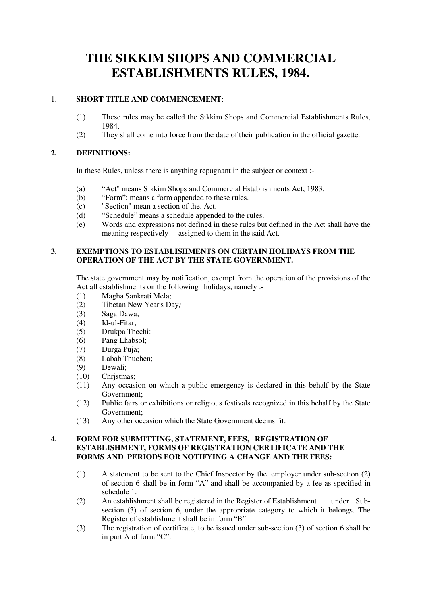# **THE SIKKIM SHOPS AND COMMERCIAL ESTABLISHMENTS RULES, 1984.**

# 1. **SHORT TITLE AND COMMENCEMENT**:

- (1) These rules may be called the Sikkim Shops and Commercial Establishments Rules, 1984.
- (2) They shall come into force from the date of their publication in the official gazette.

## **2. DEFINITIONS:**

In these Rules, unless there is anything repugnant in the subject or context :-

- (a) "Act" means Sikkim Shops and Commercial Establishments Act, 1983.
- (b) "Form": means a form appended to these rules.
- (c) "Section" mean a section of the. Act.
- (d) "Schedule" means a schedule appended to the rules.
- (e) Words and expressions not defined in these rules but defined in the Act shall have the meaning respectively assigned to them in the said Act.

# **3. EXEMPTIONS TO ESTABLISHMENTS ON CERTAIN HOLIDAYS FROM THE OPERATION OF THE ACT BY THE STATE GOVERNMENT.**

The state government may by notification, exempt from the operation of the provisions of the Act all establishments on the following holidays, namely :-

- (1) Magha Sankrati Mela;
- (2) Tibetan New Year's Day*;*
- (3) Saga Dawa;
- $(4)$  Id-ul-Fitar:
- (5) Drukpa Thechi:
- (6) Pang Lhabsol;
- (7) Durga Puja;
- (8) Labab Thuchen;
- (9) Dewali;
- (10) Chrjstmas;
- (11) Any occasion on which a public emergency is declared in this behalf by the State Government;
- (12) Public fairs or exhibitions or religious festivals recognized in this behalf by the State Government;
- (13) Any other occasion which the State Government deems fit.

#### **4. FORM FOR SUBMITTING, STATEMENT, FEES, REGISTRATION OF ESTABLISHMENT, FORMS OF REGISTRATION CERTIFICATE AND THE FORMS AND PERIODS FOR NOTIFYING A CHANGE AND THE FEES:**

- (1) A statement to be sent to the Chief Inspector by the employer under sub-section (2) of section 6 shall be in form "A" and shall be accompanied by a fee as specified in schedule 1.
- (2) An establishment shall be registered in the Register of Establishment under Subsection (3) of section 6, under the appropriate category to which it belongs. The Register of establishment shall be in form "B".
- (3) The registration of certificate, to be issued under sub-section (3) of section 6 shall be in part A of form "C".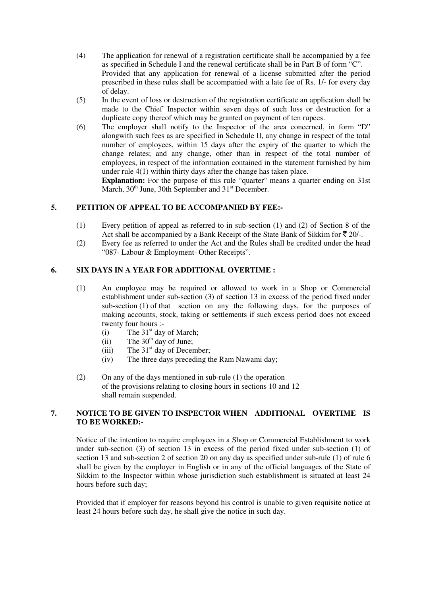- (4) The application for renewal of a registration certificate shall be accompanied by a fee as specified in Schedule I and the renewal certificate shall be in Part B of form "C". Provided that any application for renewal of a license submitted after the period prescribed in these rules shall be accompanied with a late fee of Rs. 1/- for every day of delay.
- (5) In the event of loss or destruction of the registration certificate an application shall be made to the Chief' Inspector within seven days of such loss or destruction for a duplicate copy thereof which may be granted on payment of ten rupees.
- (6) The employer shall notify to the Inspector of the area concerned, in form "D" alongwith such fees as are specified in Schedule II, any change in respect of the total number of employees, within 15 days after the expiry of the quarter to which the change relates; and any change, other than in respect of the total number of employees, in respect of the information contained in the statement furnished by him under rule 4(1) within thirty days after the change has taken place.

**Explanation:** For the purpose of this rule "quarter" means a quarter ending on 31st March,  $30<sup>th</sup>$  June, 30th September and  $31<sup>st</sup>$  December.

# **5. PETITION OF APPEAL TO BE ACCOMPANIED BY FEE:-**

- (1) Every petition of appeal as referred to in sub-section (1) and (2) of Section 8 of the Act shall be accompanied by a Bank Receipt of the State Bank of Sikkim for  $\bar{\tau}$  20/-.
- (2) Every fee as referred to under the Act and the Rules shall be credited under the head "087- Labour & Employment- Other Receipts".

## **6. SIX DAYS IN A YEAR FOR ADDITIONAL OVERTIME :**

- (1) An employee may be required or allowed to work in a Shop or Commercial establishment under sub-section (3) of section 13 in excess of the period fixed under sub-section (1) of that section on any the following days, for the purposes of making accounts, stock, taking or settlements if such excess period does not exceed twenty four hours :-
- (i) The  $31<sup>st</sup>$  day of March;
- (ii) The  $30<sup>th</sup>$  day of June;
	- (iii) The  $31<sup>st</sup>$  day of December;
	- (iv) The three days preceding the Ram Nawami day;
	- (2) On any of the days mentioned in sub-rule (1) the operation of the provisions relating to closing hours in sections 10 and 12 shall remain suspended.

# **7. NOTICE TO BE GIVEN TO INSPECTOR WHEN ADDITIONAL OVERTIME IS TO BE WORKED:-**

Notice of the intention to require employees in a Shop or Commercial Establishment to work under sub-section (3) of section 13 in excess of the period fixed under sub-section (1) of section 13 and sub-section 2 of section 20 on any day as specified under sub-rule (1) of rule 6 shall be given by the employer in English or in any of the official languages of the State of Sikkim to the Inspector within whose jurisdiction such establishment is situated at least 24 hours before such day;

Provided that if employer for reasons beyond his control is unable to given requisite notice at least 24 hours before such day, he shall give the notice in such day.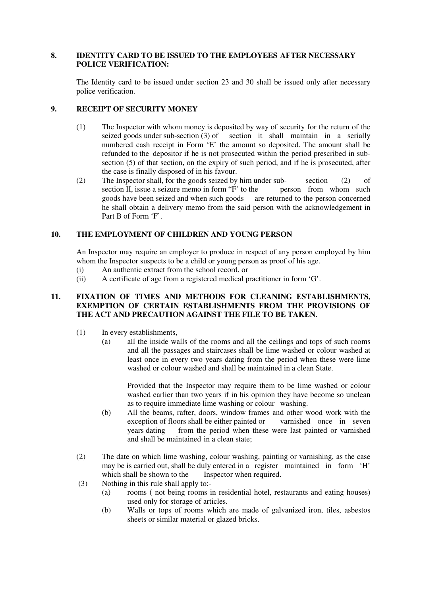#### **8. IDENTITY CARD TO BE ISSUED TO THE EMPLOYEES AFTER NECESSARY POLICE VERIFICATION:**

The Identity card to be issued under section 23 and 30 shall be issued only after necessary police verification.

# **9. RECEIPT OF SECURITY MONEY**

- (1) The Inspector with whom money is deposited by way of security for the return of the seized goods under sub-section  $(3)$  of section it shall maintain in a serially numbered cash receipt in Form 'E' the amount so deposited. The amount shall be refunded to the depositor if he is not prosecuted within the period prescribed in subsection (5) of that section, on the expiry of such period, and if he is prosecuted, after the case is finally disposed of in his favour.
- (2) The Inspector shall, for the goods seized by him under subsection (2) of section II, issue a seizure memo in form "F" to the person from whom such section II, issue a seizure memo in form  $F'$  to the goods have been seized and when such goods are returned to the person concerned he shall obtain a delivery memo from the said person with the acknowledgement in Part B of Form 'F'.

#### **10. THE EMPLOYMENT OF CHILDREN AND YOUNG PERSON**

An Inspector may require an employer to produce in respect of any person employed by him whom the Inspector suspects to be a child or young person as proof of his age.

- (i) An authentic extract from the school record, or
- (ii) A certificate of age from a registered medical practitioner in form 'G'.

### **11. FIXATION OF TIMES AND METHODS FOR CLEANING ESTABLISHMENTS, EXEMPTION OF CERTAIN ESTABLISHMENTS FROM THE PROVISIONS OF THE ACT AND PRECAUTION AGAINST THE FILE TO BE TAKEN.**

- (1) In every establishments,
	- (a) all the inside walls of the rooms and all the ceilings and tops of such rooms and all the passages and staircases shall be lime washed or colour washed at least once in every two years dating from the period when these were lime washed or colour washed and shall be maintained in a clean State.

Provided that the Inspector may require them to be lime washed or colour washed earlier than two years if in his opinion they have become so unclean as to require immediate lime washing or colour washing.

- (b) All the beams, rafter, doors, window frames and other wood work with the exception of floors shall be either painted or varnished once in seven years dating from the period when these were last painted or varnished and shall be maintained in a clean state;
- (2) The date on which lime washing, colour washing, painting or varnishing, as the case may be is carried out, shall be duly entered in a register maintained in form 'H' which shall be shown to the Inspector when required.
- (3) Nothing in this rule shall apply to:-
	- (a) rooms ( not being rooms in residential hotel, restaurants and eating houses) used only for storage of articles.
	- (b) Walls or tops of rooms which are made of galvanized iron, tiles, asbestos sheets or similar material or glazed bricks.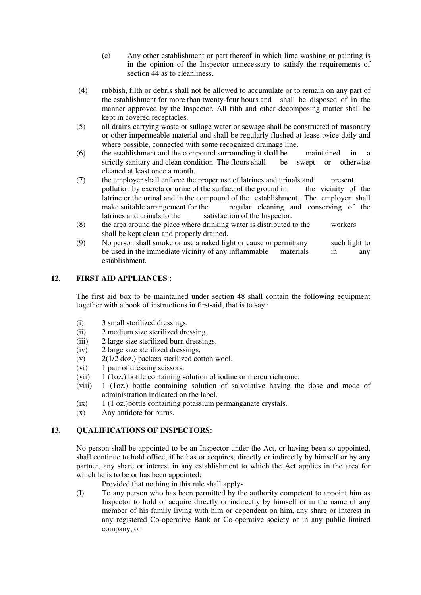- (c) Any other establishment or part thereof in which lime washing or painting is in the opinion of the Inspector unnecessary to satisfy the requirements of section 44 as to cleanliness.
- (4) rubbish, filth or debris shall not be allowed to accumulate or to remain on any part of the establishment for more than twenty-four hours and shall be disposed of in the manner approved by the Inspector. All filth and other decomposing matter shall be kept in covered receptacles.
- (5) all drains carrying waste or sullage water or sewage shall be constructed of masonary or other impermeable material and shall be regularly flushed at lease twice daily and where possible, connected with some recognized drainage line.
- (6) the establishment and the compound surrounding it shall be maintained in a strictly sanitary and clean condition. The floors shall be swept or otherwise cleaned at least once a month.
- (7) the employer shall enforce the proper use of latrines and urinals and present pollution by excreta or urine of the surface of the ground in the vicinity of the latrine or the urinal and in the compound of the establishment. The employer shall make suitable arrangement for the regular cleaning and conserving of the latrines and urinals to the satisfaction of the Inspector.
- (8) the area around the place where drinking water is distributed to the workers shall be kept clean and properly drained.
- (9) No person shall smoke or use a naked light or cause or permit any such light to be used in the immediate vicinity of any inflammable materials in any establishment.

# **12. FIRST AID APPLIANCES :**

The first aid box to be maintained under section 48 shall contain the following equipment together with a book of instructions in first-aid, that is to say :

- (i) 3 small sterilized dressings,
- (ii) 2 medium size sterilized dressing,
- (iii) 2 large size sterilized burn dressings,
- (iv) 2 large size sterilized dressings,
- (v) 2(1/2 doz.) packets sterilized cotton wool.
- (vi) 1 pair of dressing scissors.
- (vii) 1 (1oz.) bottle containing solution of iodine or mercurrichrome.
- (viii) 1 (1oz.) bottle containing solution of salvolative having the dose and mode of administration indicated on the label.
- (ix) 1 (1 oz.)bottle containing potassium permanganate crystals.
- (x) Any antidote for burns.

# **13. QUALIFICATIONS OF INSPECTORS:**

No person shall be appointed to be an Inspector under the Act, or having been so appointed, shall continue to hold office, if he has or acquires, directly or indirectly by himself or by any partner, any share or interest in any establishment to which the Act applies in the area for which he is to be or has been appointed:

Provided that nothing in this rule shall apply-

(I) To any person who has been permitted by the authority competent to appoint him as Inspector to hold or acquire directly or indirectly by himself or in the name of any member of his family living with him or dependent on him, any share or interest in any registered Co-operative Bank or Co-operative society or in any public limited company, or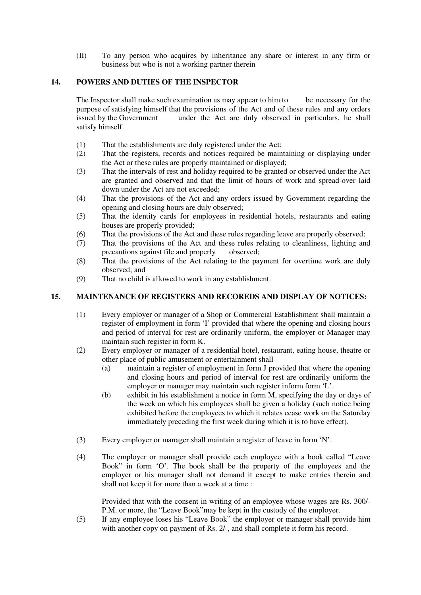(II) To any person who acquires by inheritance any share or interest in any firm or business but who is not a working partner therein

# **14. POWERS AND DUTIES OF THE INSPECTOR**

The Inspector shall make such examination as may appear to him to be necessary for the purpose of satisfying himself that the provisions of the Act and of these rules and any orders issued by the Government under the Act are duly observed in particulars, he shall satisfy himself.

- (1) That the establishments are duly registered under the Act;
- (2) That the registers, records and notices required be maintaining or displaying under the Act or these rules are properly maintained or displayed;
- (3) That the intervals of rest and holiday required to be granted or observed under the Act are granted and observed and that the limit of hours of work and spread-over laid down under the Act are not exceeded;
- (4) That the provisions of the Act and any orders issued by Government regarding the opening and closing hours are duly observed;
- (5) That the identity cards for employees in residential hotels, restaurants and eating houses are properly provided;
- (6) That the provisions of the Act and these rules regarding leave are properly observed;
- (7) That the provisions of the Act and these rules relating to cleanliness, lighting and precautions against file and properly observed;
- (8) That the provisions of the Act relating to the payment for overtime work are duly observed; and
- (9) That no child is allowed to work in any establishment.

# **15. MAINTENANCE OF REGISTERS AND RECOREDS AND DISPLAY OF NOTICES:**

- (1) Every employer or manager of a Shop or Commercial Establishment shall maintain a register of employment in form 'I' provided that where the opening and closing hours and period of interval for rest are ordinarily uniform, the employer or Manager may maintain such register in form K.
- (2) Every employer or manager of a residential hotel, restaurant, eating house, theatre or other place of public amusement or entertainment shall-
	- (a) maintain a register of employment in form J provided that where the opening and closing hours and period of interval for rest are ordinarily uniform the employer or manager may maintain such register inform form 'L'.
	- (b) exhibit in his establishment a notice in form M, specifying the day or days of the week on which his employees shall be given a holiday (such notice being exhibited before the employees to which it relates cease work on the Saturday immediately preceding the first week during which it is to have effect).
- (3) Every employer or manager shall maintain a register of leave in form 'N'.
- (4) The employer or manager shall provide each employee with a book called "Leave Book" in form 'O'. The book shall be the property of the employees and the employer or his manager shall not demand it except to make entries therein and shall not keep it for more than a week at a time :

Provided that with the consent in writing of an employee whose wages are Rs. 300/- P.M. or more, the "Leave Book"may be kept in the custody of the employer.

(5) If any employee loses his "Leave Book" the employer or manager shall provide him with another copy on payment of Rs. 2/-, and shall complete it form his record.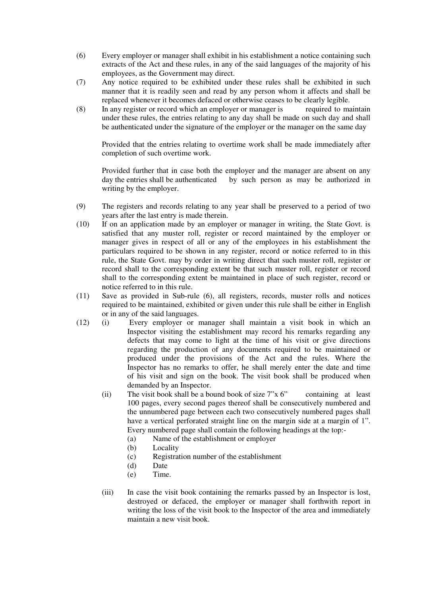- (6) Every employer or manager shall exhibit in his establishment a notice containing such extracts of the Act and these rules, in any of the said languages of the majority of his employees, as the Government may direct.
- (7) Any notice required to be exhibited under these rules shall be exhibited in such manner that it is readily seen and read by any person whom it affects and shall be replaced whenever it becomes defaced or otherwise ceases to be clearly legible.
- (8) In any register or record which an employer or manager is required to maintain under these rules, the entries relating to any day shall be made on such day and shall be authenticated under the signature of the employer or the manager on the same day

Provided that the entries relating to overtime work shall be made immediately after completion of such overtime work.

Provided further that in case both the employer and the manager are absent on any day the entries shall be authenticated by such person as may be authorized in writing by the employer.

- (9) The registers and records relating to any year shall be preserved to a period of two years after the last entry is made therein.
- (10) If on an application made by an employer or manager in writing, the State Govt. is satisfied that any muster roll, register or record maintained by the employer or manager gives in respect of all or any of the employees in his establishment the particulars required to be shown in any register, record or notice referred to in this rule, the State Govt. may by order in writing direct that such muster roll, register or record shall to the corresponding extent be that such muster roll, register or record shall to the corresponding extent be maintained in place of such register, record or notice referred to in this rule.
- (11) Save as provided in Sub-rule (6), all registers, records, muster rolls and notices required to be maintained, exhibited or given under this rule shall be either in English or in any of the said languages.
- (12) (i) Every employer or manager shall maintain a visit book in which an Inspector visiting the establishment may record his remarks regarding any defects that may come to light at the time of his visit or give directions regarding the production of any documents required to be maintained or produced under the provisions of the Act and the rules. Where the Inspector has no remarks to offer, he shall merely enter the date and time of his visit and sign on the book. The visit book shall be produced when demanded by an Inspector.
	- (ii) The visit book shall be a bound book of size  $7^{\prime\prime}x$  6" containing at least 100 pages, every second pages thereof shall be consecutively numbered and the unnumbered page between each two consecutively numbered pages shall have a vertical perforated straight line on the margin side at a margin of 1". Every numbered page shall contain the following headings at the top:-
		- (a) Name of the establishment or employer
		- (b) Locality
		- (c) Registration number of the establishment
		- (d) Date
		- (e) Time.
	- (iii) In case the visit book containing the remarks passed by an Inspector is lost, destroyed or defaced, the employer or manager shall forthwith report in writing the loss of the visit book to the Inspector of the area and immediately maintain a new visit book.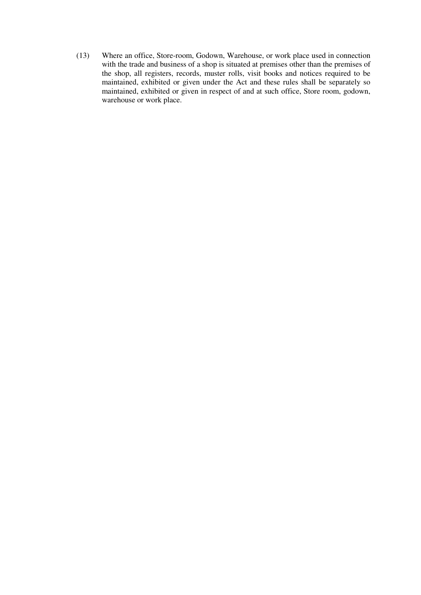(13) Where an office, Store-room, Godown, Warehouse, or work place used in connection with the trade and business of a shop is situated at premises other than the premises of the shop, all registers, records, muster rolls, visit books and notices required to be maintained, exhibited or given under the Act and these rules shall be separately so maintained, exhibited or given in respect of and at such office, Store room, godown, warehouse or work place.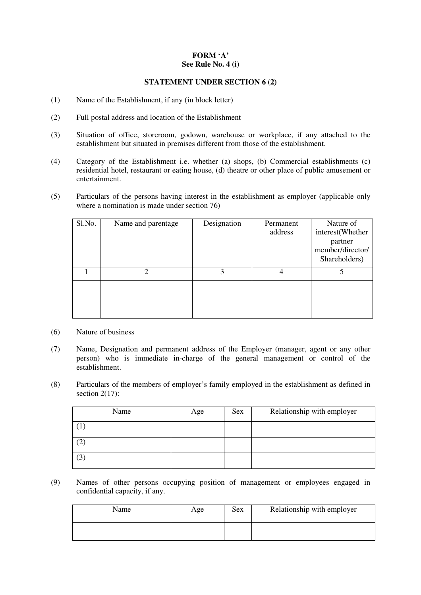#### **FORM 'A' See Rule No. 4 (i)**

# **STATEMENT UNDER SECTION 6 (2)**

- (1) Name of the Establishment, if any (in block letter)
- (2) Full postal address and location of the Establishment
- (3) Situation of office, storeroom, godown, warehouse or workplace, if any attached to the establishment but situated in premises different from those of the establishment.
- (4) Category of the Establishment i.e. whether (a) shops, (b) Commercial establishments (c) residential hotel, restaurant or eating house, (d) theatre or other place of public amusement or entertainment.
- (5) Particulars of the persons having interest in the establishment as employer (applicable only where a nomination is made under section 76)

| Sl.No. | Name and parentage | Designation | Permanent<br>address | Nature of<br>interest(Whether<br>partner<br>member/director/<br>Shareholders) |
|--------|--------------------|-------------|----------------------|-------------------------------------------------------------------------------|
|        | 2                  | 3           | 4                    |                                                                               |
|        |                    |             |                      |                                                                               |

- (6) Nature of business
- (7) Name, Designation and permanent address of the Employer (manager, agent or any other person) who is immediate in-charge of the general management or control of the establishment.
- (8) Particulars of the members of employer's family employed in the establishment as defined in section 2(17):

| Name    | Age | Sex | Relationship with employer |
|---------|-----|-----|----------------------------|
|         |     |     |                            |
|         |     |     |                            |
| ◠<br>د. |     |     |                            |

(9) Names of other persons occupying position of management or employees engaged in confidential capacity, if any.

| Name | Age | <b>Sex</b> | Relationship with employer |
|------|-----|------------|----------------------------|
|      |     |            |                            |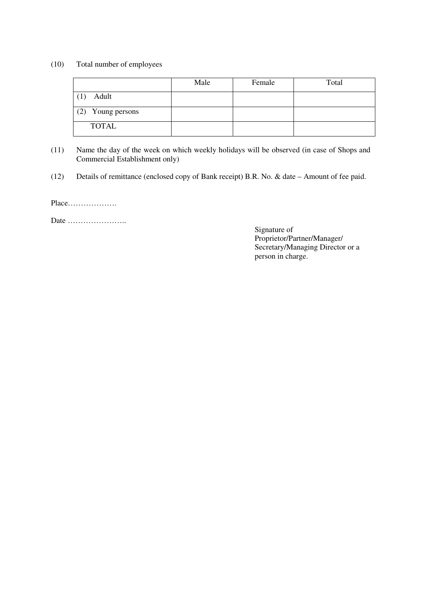#### (10) Total number of employees

|                   | Male | Female | Total |
|-------------------|------|--------|-------|
| Adult<br>(1)      |      |        |       |
| (2) Young persons |      |        |       |
| <b>TOTAL</b>      |      |        |       |

- (11) Name the day of the week on which weekly holidays will be observed (in case of Shops and Commercial Establishment only)
- (12) Details of remittance (enclosed copy of Bank receipt) B.R. No. & date Amount of fee paid.

Place……………….

Date …………………..

Signature of Proprietor/Partner/Manager/ Secretary/Managing Director or a person in charge.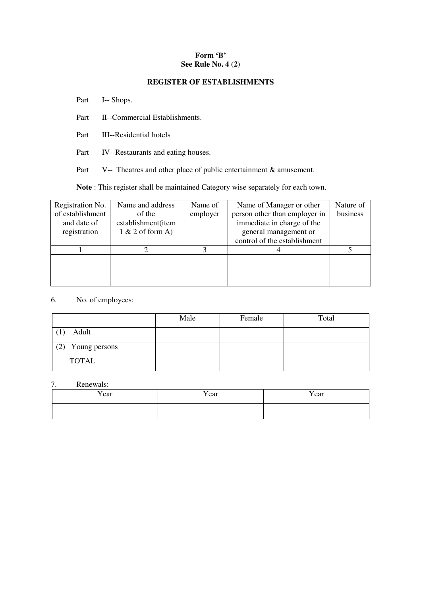#### **Form 'B' See Rule No. 4 (2)**

#### **REGISTER OF ESTABLISHMENTS**

Part I-- Shops.

- Part II--Commercial Establishments.
- Part III--Residential hotels
- Part IV--Restaurants and eating houses.

Part V-- Theatres and other place of public entertainment & amusement.

**Note** : This register shall be maintained Category wise separately for each town.

| Name and address           | Name of | Name of Manager or other      | Nature of |
|----------------------------|---------|-------------------------------|-----------|
| of establishment<br>of the |         | person other than employer in | business  |
| establishment(item         |         | immediate in charge of the    |           |
| $1 & 2$ of form A)         |         | general management or         |           |
|                            |         | control of the establishment  |           |
|                            |         |                               |           |
|                            |         |                               |           |
|                            |         |                               |           |
|                            |         |                               |           |
|                            |         | employer                      |           |

6. No. of employees:

|                      | Male | Female | Total |
|----------------------|------|--------|-------|
| Adult                |      |        |       |
| (2)<br>Young persons |      |        |       |
| <b>TOTAL</b>         |      |        |       |

# 7. Renewals:

| Year | Year | Year |
|------|------|------|
|      |      |      |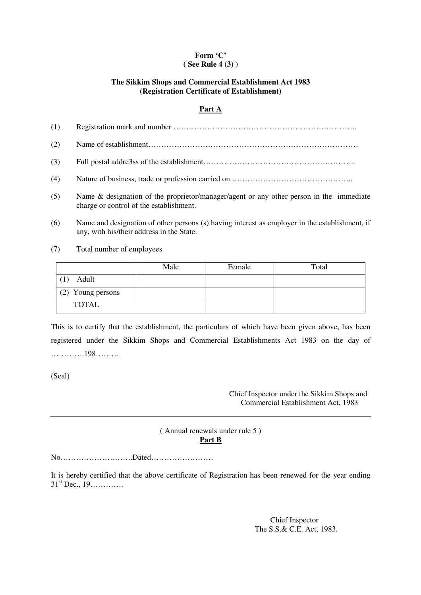#### **Form 'C' ( See Rule 4 (3) )**

# **The Sikkim Shops and Commercial Establishment Act 1983 (Registration Certificate of Establishment)**

# **Part A**

| (1) |                                                                                                                                    |
|-----|------------------------------------------------------------------------------------------------------------------------------------|
| (2) |                                                                                                                                    |
| (3) |                                                                                                                                    |
| (4) |                                                                                                                                    |
| (5) | Name & designation of the proprietor/manager/agent or any other person in the immediate<br>charge or control of the establishment. |

(6) Name and designation of other persons (s) having interest as employer in the establishment, if any, with his/their address in the State.

(7) Total number of employees

|                   | Male | Female | Total |
|-------------------|------|--------|-------|
| Adult             |      |        |       |
| (2) Young persons |      |        |       |
| <b>TOTAL</b>      |      |        |       |

This is to certify that the establishment, the particulars of which have been given above, has been registered under the Sikkim Shops and Commercial Establishments Act 1983 on the day of ………….198………

(Seal)

Chief Inspector under the Sikkim Shops and Commercial Establishment Act, 1983

# ( Annual renewals under rule 5 ) **Part B**

No……………………….Dated……………………

It is hereby certified that the above certificate of Registration has been renewed for the year ending  $31^{st}$  Dec.,  $19$ .............

> Chief Inspector The S.S.& C.E. Act, 1983.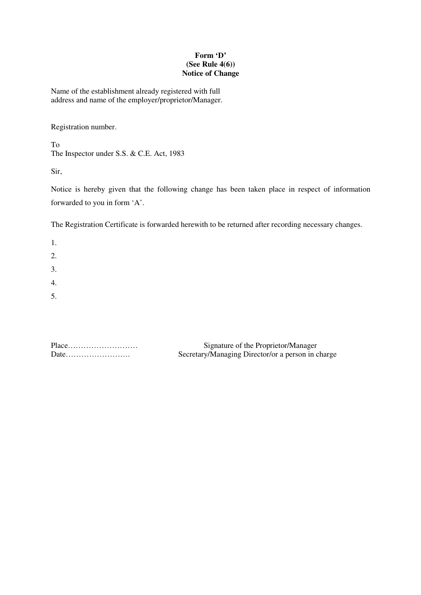### **Form 'D' (See Rule 4(6)) Notice of Change**

Name of the establishment already registered with full address and name of the employer/proprietor/Manager.

Registration number.

To The Inspector under S.S. & C.E. Act, 1983

Sir,

Notice is hereby given that the following change has been taken place in respect of information forwarded to you in form 'A'.

The Registration Certificate is forwarded herewith to be returned after recording necessary changes.

1. 2. 3. 4. 5.

| Place | Signature of the Proprietor/Manager               |
|-------|---------------------------------------------------|
| Date  | Secretary/Managing Director/or a person in charge |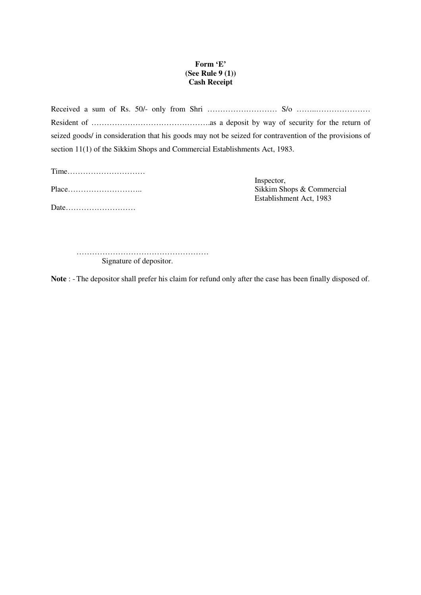# **Form 'E' (See Rule 9 (1)) Cash Receipt**

Received a sum of Rs. 50/- only from Shri ……………………… S/o ……..………………… Resident of ……………………………………….as a deposit by way of security for the return of seized goods/ in consideration that his goods may not be seized for contravention of the provisions of section 11(1) of the Sikkim Shops and Commercial Establishments Act, 1983.

Time………………………… Inspector, Date………………………

Sikkim Shops & Commercial Establishment Act, 1983

…………………………………………… Signature of depositor.

**Note** : - The depositor shall prefer his claim for refund only after the case has been finally disposed of.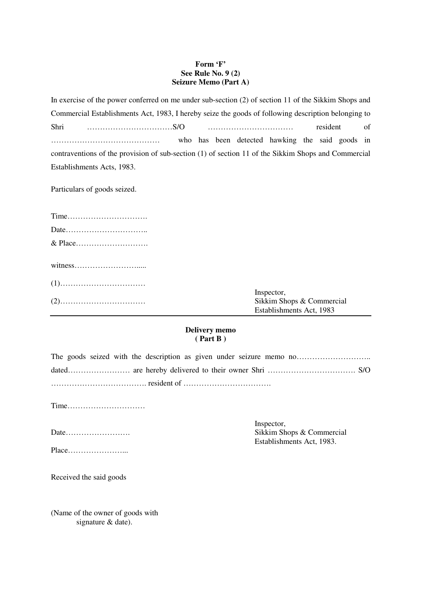# **Form 'F' See Rule No. 9 (2) Seizure Memo (Part A)**

In exercise of the power conferred on me under sub-section (2) of section 11 of the Sikkim Shops and Commercial Establishments Act, 1983, I hereby seize the goods of following description belonging to Shri ……………………………S/O …………………………… resident of …………………………………… who has been detected hawking the said goods in contraventions of the provision of sub-section (1) of section 11 of the Sikkim Shops and Commercial Establishments Acts, 1983.

Particulars of goods seized.

| Inspector,                |
|---------------------------|
| Sikkim Shops & Commercial |
| Establishments Act, 1983  |

#### **Delivery memo ( Part B )**

|  |  |  |  |  | The goods seized with the description as given under seizure memo no |
|--|--|--|--|--|----------------------------------------------------------------------|
|  |  |  |  |  |                                                                      |
|  |  |  |  |  |                                                                      |

Time…………………………

Inspector,

|--|--|--|--|--|

Sikkim Shops & Commercial Establishments Act, 1983.

Received the said goods

(Name of the owner of goods with signature & date).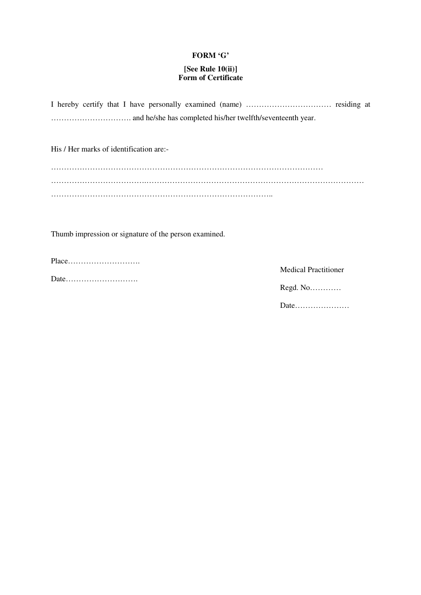#### **FORM 'G'**

# **[See Rule 10(ii)] Form of Certificate**

His / Her marks of identification are:-

Thumb impression or signature of the person examined.

Place……………………….

Date……………………….

 Medical Practitioner Regd. No………… Date…………………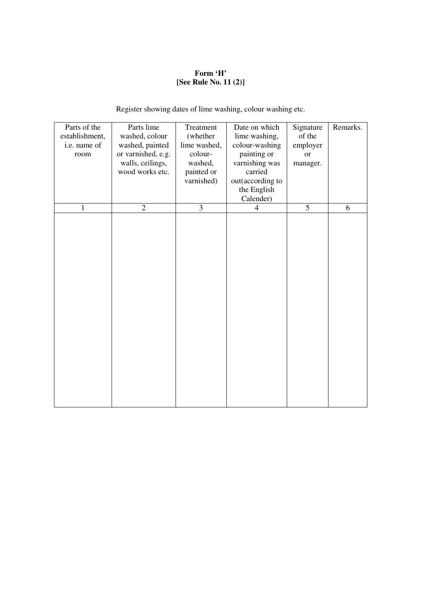# **Form 'H' [See Rule No. 11 (2)]**

Register showing dates of lime washing, colour washing etc.

| Parts of the<br>establishment,<br>i.e. name of<br>room | Parts lime<br>washed, colour<br>washed, painted<br>or varnished, e.g.<br>walls, ceilings,<br>wood works etc. | Treatment<br>(whether<br>lime washed,<br>colour-<br>washed,<br>painted or<br>varnished) | Date on which<br>lime washing,<br>colour-washing<br>painting or<br>varnishing was<br>carried<br>out(according to<br>the English<br>Calender) | Signature<br>of the<br>employer<br><b>or</b><br>manager. | Remarks. |
|--------------------------------------------------------|--------------------------------------------------------------------------------------------------------------|-----------------------------------------------------------------------------------------|----------------------------------------------------------------------------------------------------------------------------------------------|----------------------------------------------------------|----------|
| 1                                                      | $\overline{2}$                                                                                               | $\overline{3}$                                                                          | $\overline{4}$                                                                                                                               | $\overline{5}$                                           | 6        |
|                                                        |                                                                                                              |                                                                                         |                                                                                                                                              |                                                          |          |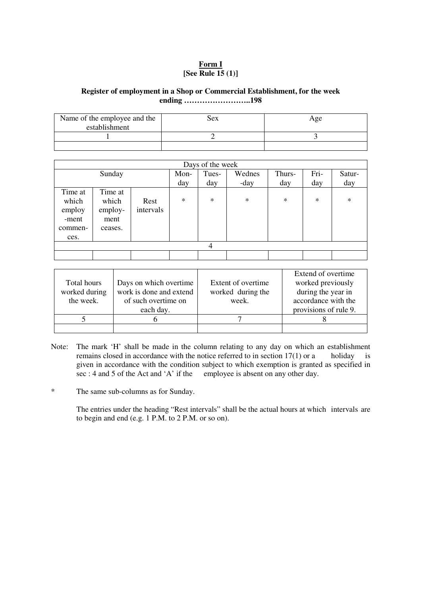# **Form I [See Rule 15 (1)]**

#### **Register of employment in a Shop or Commercial Establishment, for the week ending ……………………..198**

| Name of the employee and the<br>establishment | sex | Age |
|-----------------------------------------------|-----|-----|
|                                               |     |     |
|                                               |     |     |

|                                                        | Days of the week                               |                   |        |        |        |        |        |        |  |  |
|--------------------------------------------------------|------------------------------------------------|-------------------|--------|--------|--------|--------|--------|--------|--|--|
|                                                        | Sunday                                         |                   | Mon-   | Tues-  | Wednes | Thurs- | Fri-   | Satur- |  |  |
|                                                        |                                                |                   | day    | day    | -day   | day    | day    | day    |  |  |
| Time at<br>which<br>employ<br>-ment<br>commen-<br>ces. | Time at<br>which<br>employ-<br>ment<br>ceases. | Rest<br>intervals | $\ast$ | $\ast$ | $\ast$ | $\ast$ | $\ast$ | $\ast$ |  |  |
|                                                        | $\overline{4}$                                 |                   |        |        |        |        |        |        |  |  |
|                                                        |                                                |                   |        |        |        |        |        |        |  |  |

| Total hours   | Days on which overtime  | Extent of overtime. | Extend of overtime.<br>worked previously |
|---------------|-------------------------|---------------------|------------------------------------------|
| worked during | work is done and extend | worked during the   | during the year in                       |
| the week.     | of such overtime on     | week.               | accordance with the                      |
|               | each day.               |                     | provisions of rule 9.                    |
|               |                         |                     |                                          |
|               |                         |                     |                                          |

- Note: The mark 'H' shall be made in the column relating to any day on which an establishment remains closed in accordance with the notice referred to in section  $17(1)$  or a holiday is given in accordance with the condition subject to which exemption is granted as specified in sec : 4 and 5 of the Act and 'A' if the employee is absent on any other day.
- \* The same sub-columns as for Sunday.

The entries under the heading "Rest intervals" shall be the actual hours at which intervals are to begin and end (e.g. 1 P.M. to 2 P.M. or so on).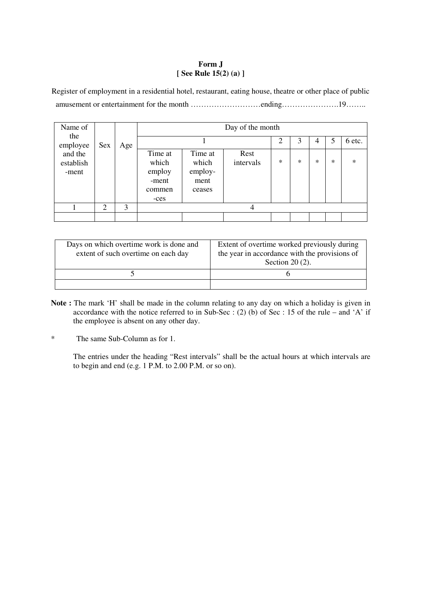# **Form J [ See Rule 15(2) (a) ]**

Register of employment in a residential hotel, restaurant, eating house, theatre or other place of public amusement or entertainment for the month ………………………ending………………….19……..

| Name of                       |                |     | Day of the month                                      |                                               |                   |        |        |   |        |        |  |  |  |  |
|-------------------------------|----------------|-----|-------------------------------------------------------|-----------------------------------------------|-------------------|--------|--------|---|--------|--------|--|--|--|--|
| the<br>employee               | Sex            | Age |                                                       | 2<br>3<br>6 etc.<br>5<br>4                    |                   |        |        |   |        |        |  |  |  |  |
| and the<br>establish<br>-ment |                |     | Time at<br>which<br>employ<br>-ment<br>commen<br>-ces | Time at<br>which<br>employ-<br>ment<br>ceases | Rest<br>intervals | $\ast$ | $\ast$ | * | $\ast$ | $\ast$ |  |  |  |  |
|                               | $\overline{2}$ | 3   |                                                       |                                               | 4                 |        |        |   |        |        |  |  |  |  |
|                               |                |     |                                                       |                                               |                   |        |        |   |        |        |  |  |  |  |

| Days on which overtime work is done and<br>extent of such overtime on each day | Extent of overtime worked previously during<br>the year in accordance with the provisions of<br>Section $20(2)$ . |
|--------------------------------------------------------------------------------|-------------------------------------------------------------------------------------------------------------------|
|                                                                                |                                                                                                                   |
|                                                                                |                                                                                                                   |

- **Note :** The mark 'H' shall be made in the column relating to any day on which a holiday is given in accordance with the notice referred to in Sub-Sec : (2) (b) of Sec : 15 of the rule – and 'A' if the employee is absent on any other day.
- \* The same Sub-Column as for 1.

The entries under the heading "Rest intervals" shall be the actual hours at which intervals are to begin and end (e.g. 1 P.M. to 2.00 P.M. or so on).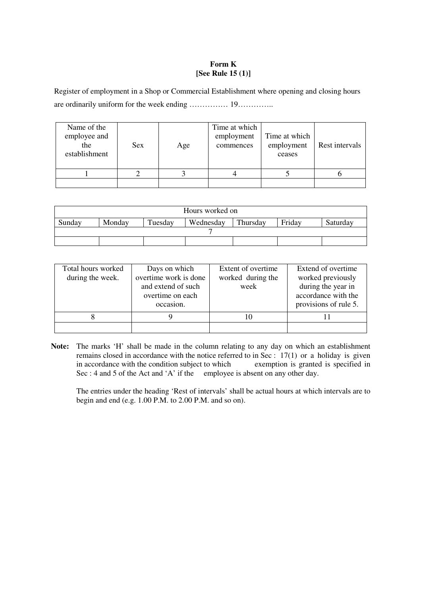#### **Form K [See Rule 15 (1)]**

Register of employment in a Shop or Commercial Establishment where opening and closing hours are ordinarily uniform for the week ending …………… 19…………..

| Name of the<br>employee and<br>the<br>establishment | <b>Sex</b> | Age | Time at which<br>employment<br>commences | Time at which<br>employment<br>ceases | Rest intervals |
|-----------------------------------------------------|------------|-----|------------------------------------------|---------------------------------------|----------------|
|                                                     |            |     |                                          |                                       |                |
|                                                     |            |     |                                          |                                       |                |

| Hours worked on                                                            |  |  |  |  |  |  |  |  |  |  |
|----------------------------------------------------------------------------|--|--|--|--|--|--|--|--|--|--|
| Friday<br>Wednesday<br>Tuesday<br>Thursday<br>Monday<br>Sunday<br>Saturday |  |  |  |  |  |  |  |  |  |  |
|                                                                            |  |  |  |  |  |  |  |  |  |  |
|                                                                            |  |  |  |  |  |  |  |  |  |  |

| Total hours worked<br>during the week. | Days on which<br>overtime work is done<br>and extend of such<br>overtime on each<br>occasion. | Extent of overtime.<br>worked during the<br>week | Extend of overtime.<br>worked previously<br>during the year in<br>accordance with the<br>provisions of rule 5. |
|----------------------------------------|-----------------------------------------------------------------------------------------------|--------------------------------------------------|----------------------------------------------------------------------------------------------------------------|
|                                        |                                                                                               | 10                                               |                                                                                                                |
|                                        |                                                                                               |                                                  |                                                                                                                |

**Note:** The marks 'H' shall be made in the column relating to any day on which an establishment remains closed in accordance with the notice referred to in Sec : 17(1) or a holiday is given<br>in accordance with the condition subject to which exemption is granted is specified in in accordance with the condition subject to which Sec : 4 and 5 of the Act and 'A' if the employee is absent on any other day.

The entries under the heading 'Rest of intervals' shall be actual hours at which intervals are to begin and end (e.g. 1.00 P.M. to 2.00 P.M. and so on).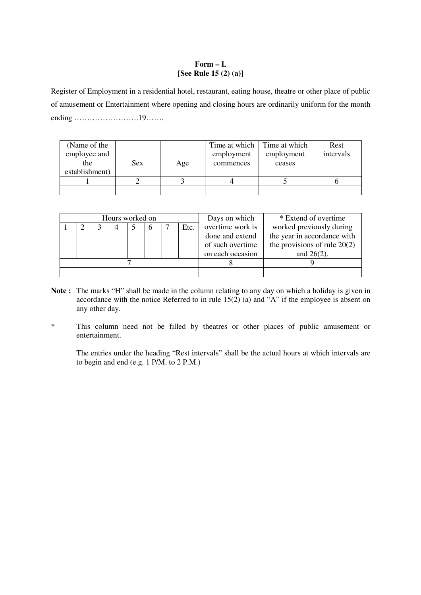## **Form – L [See Rule 15 (2) (a)]**

Register of Employment in a residential hotel, restaurant, eating house, theatre or other place of public of amusement or Entertainment where opening and closing hours are ordinarily uniform for the month ending …………………….19…….

| (Name of the<br>employee and<br>the<br>establishment) | Sex. | Age | Time at which  <br>employment<br>commences | Time at which<br>employment<br>ceases | Rest<br>intervals |
|-------------------------------------------------------|------|-----|--------------------------------------------|---------------------------------------|-------------------|
|                                                       |      |     |                                            |                                       |                   |
|                                                       |      |     |                                            |                                       |                   |

|  | Hours worked on |  |      | Days on which    | * Extend of overtime           |
|--|-----------------|--|------|------------------|--------------------------------|
|  | 4               |  | Etc. | overtime work is | worked previously during       |
|  |                 |  |      | done and extend  | the year in accordance with    |
|  |                 |  |      | of such overtime | the provisions of rule $20(2)$ |
|  |                 |  |      | on each occasion | and $26(2)$ .                  |
|  |                 |  |      |                  |                                |
|  |                 |  |      |                  |                                |

- **Note :** The marks "H" shall be made in the column relating to any day on which a holiday is given in accordance with the notice Referred to in rule  $15(2)$  (a) and "A" if the employee is absent on any other day.
- \* This column need not be filled by theatres or other places of public amusement or entertainment.

The entries under the heading "Rest intervals" shall be the actual hours at which intervals are to begin and end (e.g. 1 P/M. to 2 P.M.)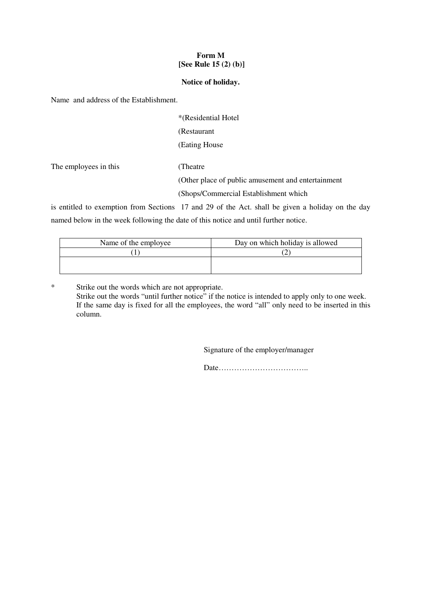## **Form M [See Rule 15 (2) (b)]**

#### **Notice of holiday.**

Name and address of the Establishment.

| *(Residential Hotel |
|---------------------|
| (Restaurant)        |
| (Eating House)      |
|                     |

The employees in this (Theatre

(Other place of public amusement and entertainment

(Shops/Commercial Establishment which

is entitled to exemption from Sections 17 and 29 of the Act. shall be given a holiday on the day named below in the week following the date of this notice and until further notice.

| Name of the employee | Day on which holiday is allowed |  |  |
|----------------------|---------------------------------|--|--|
|                      |                                 |  |  |
|                      |                                 |  |  |
|                      |                                 |  |  |

\* Strike out the words which are not appropriate. Strike out the words "until further notice" if the notice is intended to apply only to one week. If the same day is fixed for all the employees, the word "all" only need to be inserted in this column.

Signature of the employer/manager

Date……………………………..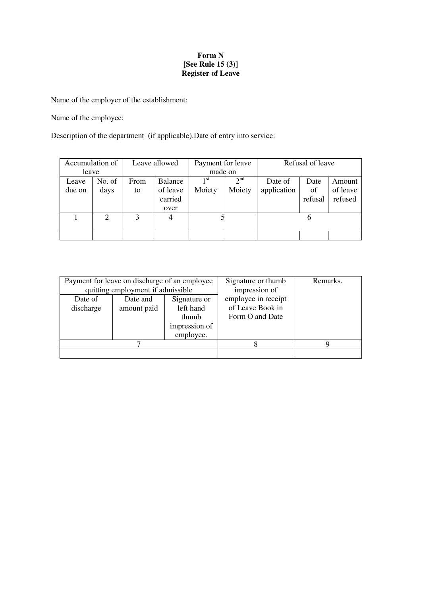## **Form N [See Rule 15 (3)] Register of Leave**

Name of the employer of the establishment:

Name of the employee:

Description of the department (if applicable).Date of entry into service:

|                 | Accumulation of | Leave allowed |                                        | Payment for leave         |                    | Refusal of leave       |                       |                               |
|-----------------|-----------------|---------------|----------------------------------------|---------------------------|--------------------|------------------------|-----------------------|-------------------------------|
| leave           |                 |               |                                        | made on                   |                    |                        |                       |                               |
| Leave<br>due on | No. of<br>days  | From<br>to    | Balance<br>of leave<br>carried<br>over | 1 <sup>st</sup><br>Moiety | $2^{nd}$<br>Moiety | Date of<br>application | Date<br>of<br>refusal | Amount<br>of leave<br>refused |
|                 | 2               | 3             | 4                                      |                           |                    |                        | n                     |                               |
|                 |                 |               |                                        |                           |                    |                        |                       |                               |

|                      | Payment for leave on discharge of an employee<br>quitting employment if admissible |                                                                  | Signature or thumb<br>impression of                        | Remarks. |
|----------------------|------------------------------------------------------------------------------------|------------------------------------------------------------------|------------------------------------------------------------|----------|
| Date of<br>discharge | Date and<br>amount paid                                                            | Signature or<br>left hand<br>thumb<br>impression of<br>employee. | employee in receipt<br>of Leave Book in<br>Form O and Date |          |
|                      |                                                                                    |                                                                  |                                                            | Q        |
|                      |                                                                                    |                                                                  |                                                            |          |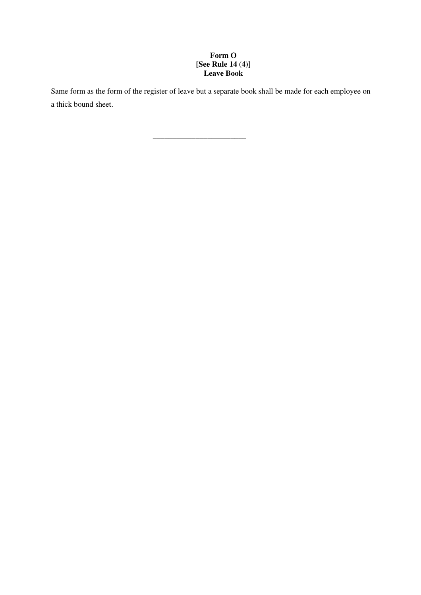# **Form O [See Rule 14 (4)] Leave Book**

Same form as the form of the register of leave but a separate book shall be made for each employee on a thick bound sheet.

 $\frac{1}{2}$  , and the set of the set of the set of the set of the set of the set of the set of the set of the set of the set of the set of the set of the set of the set of the set of the set of the set of the set of the set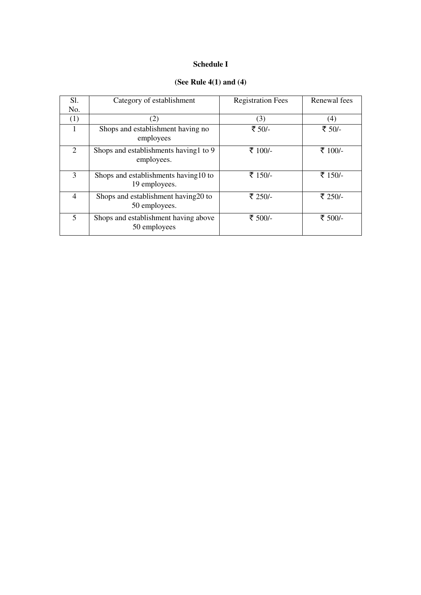# **Schedule I**

# **(See Rule 4(1) and (4)**

| S1.            | Category of establishment                              | <b>Registration Fees</b> | Renewal fees |
|----------------|--------------------------------------------------------|--------------------------|--------------|
| No.            |                                                        |                          |              |
| (1)            | (2)                                                    | (3)                      | (4)          |
| $\mathbf{1}$   | Shops and establishment having no<br>employees         | ₹ 50/-                   | ₹ 50/-       |
| 2              | Shops and establishments having 1 to 9<br>employees.   | ₹ 100/-                  | ₹ 100/-      |
| $\mathcal{E}$  | Shops and establishments having 10 to<br>19 employees. | ₹ 150/-                  | ₹ 150/-      |
| $\overline{4}$ | Shops and establishment having 20 to<br>50 employees.  | ₹ 250/-                  | ₹ 250/-      |
| 5              | Shops and establishment having above<br>50 employees   | ₹ 500/-                  | ₹ 500/-      |